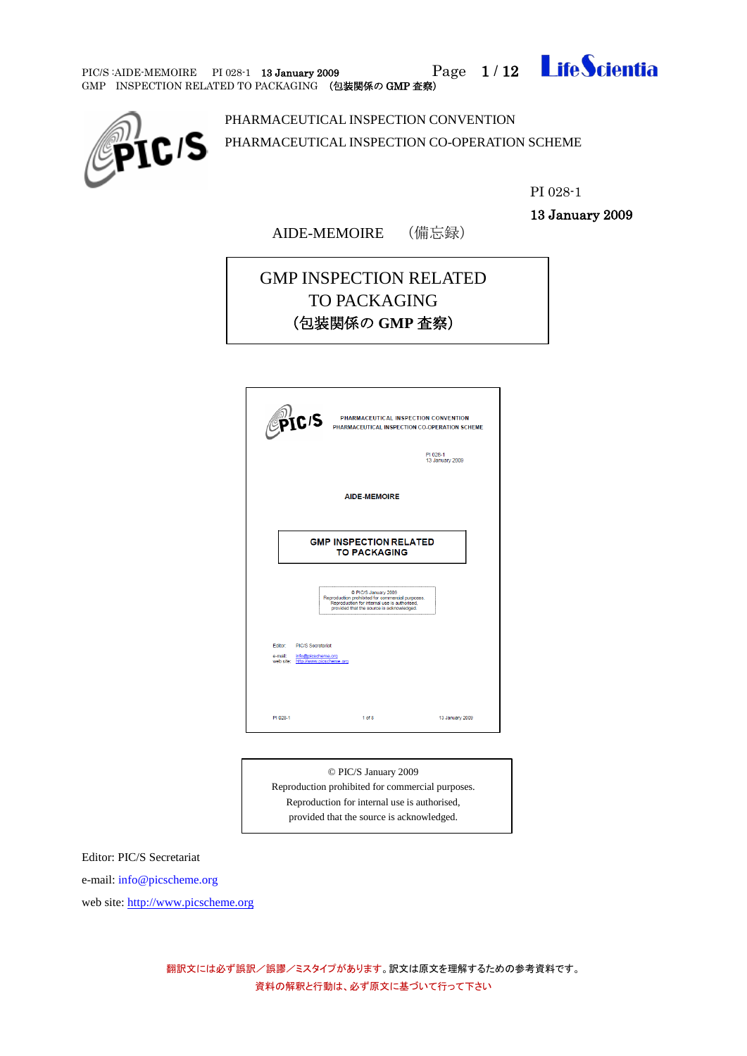PIC/S :AIDE-MEMOIRE PI 028-1 13 January 2009 Page 1/12 Ife Scientia





PHARMACEUTICAL INSPECTION CONVENTION PHARMACEUTICAL INSPECTION CO-OPERATION SCHEME

PI 028-1

13 January 2009

AIDE-MEMOIRE (備忘録)

# GMP INSPECTION RELATED TO PACKAGING (包装関係の **GMP** 査察)

| PIC <sub>IS</sub>                                                                             | PHARMACEUTICAL INSPECTION CONVENTION<br>PHARMACEUTICAL INSPECTION CO-OPERATION SCHEME                                                                                 | PI 028-1<br>13 January 2009 |  |
|-----------------------------------------------------------------------------------------------|-----------------------------------------------------------------------------------------------------------------------------------------------------------------------|-----------------------------|--|
|                                                                                               | <b>AIDE-MEMOIRE</b>                                                                                                                                                   |                             |  |
|                                                                                               | <b>GMP INSPECTION RELATED</b><br><b>TO PACKAGING</b>                                                                                                                  |                             |  |
|                                                                                               | @ PIC/S January 2009<br>Reproduction prohibited for commercial purposes.<br>Reproduction for internal use is authorised,<br>provided that the source is acknowledged. |                             |  |
| Editor: PIC/S Secretariat<br>e-mail: info@picscheme.org<br>web site: http://www.picscheme.org |                                                                                                                                                                       |                             |  |
| PI 028-1                                                                                      | 1 <sub>of</sub> 8                                                                                                                                                     | 13 January 2009             |  |

© PIC/S January 2009 Reproduction prohibited for commercial purposes. Reproduction for internal use is authorised, provided that the source is acknowledged.

Editor: PIC/S Secretariat

e-mail: info@picscheme.org

web site[: http://www.picscheme.org](http://www.picscheme.org/)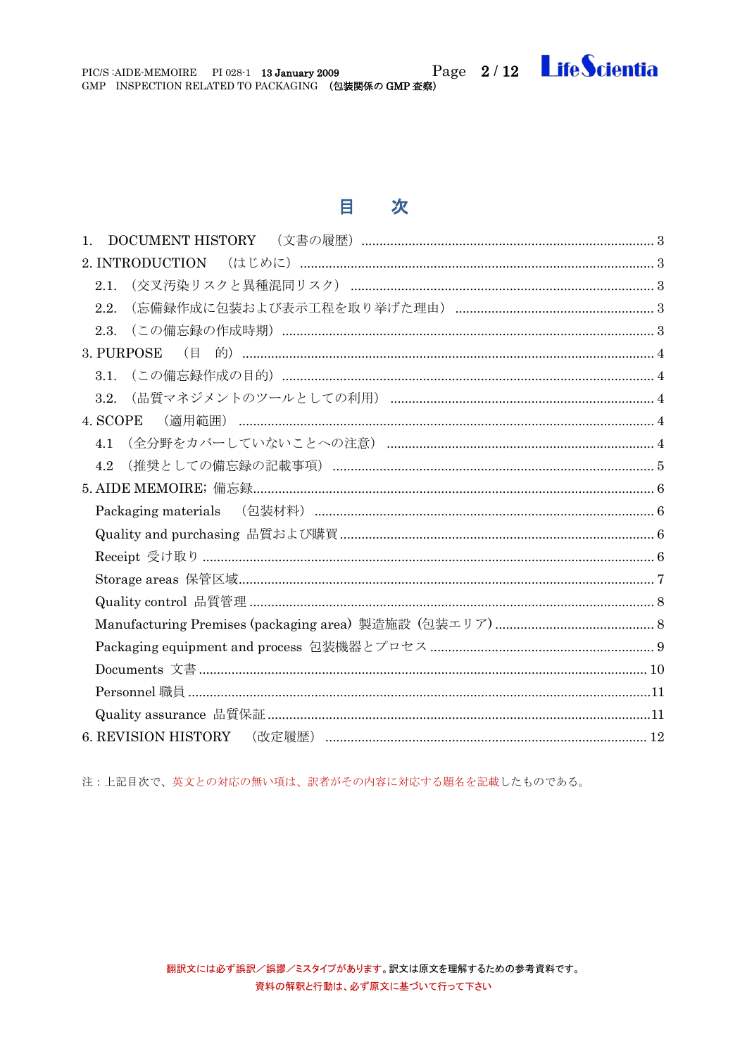PIC/S:AIDE-MEMOIRE PI 028-1 13 January 2009 Page 2/12 Life Scientia

# 目次

注:上記目次で、英文との対応の無い項は、訳者がその内容に対応する題名を記載したものである。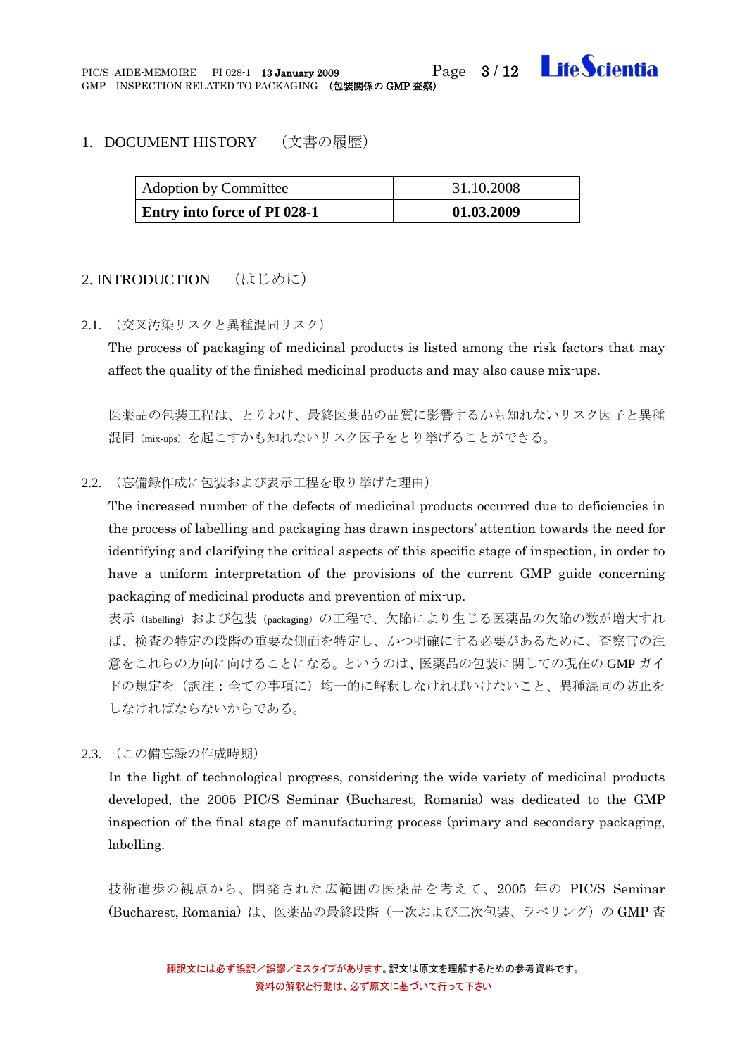

#### <span id="page-2-0"></span>1. DOCUMENT HISTORY (文書の履歴)

| <b>Adoption by Committee</b> | 31.10.2008 |
|------------------------------|------------|
| Entry into force of PI 028-1 | 01.03.2009 |

#### <span id="page-2-1"></span>2. INTRODUCTION (はじめに)

<span id="page-2-2"></span>2.1. (交叉汚染リスクと異種混同リスク)

The process of packaging of medicinal products is listed among the risk factors that may affect the quality of the finished medicinal products and may also cause mix-ups.

医薬品の包装工程は、とりわけ、最終医薬品の品質に影響するかも知れないリスク因子と異種 混同(mix-ups)を起こすかも知れないリスク因子をとり挙げることができる。

#### <span id="page-2-3"></span>2.2. (忘備録作成に包装および表示工程を取り挙げた理由)

The increased number of the defects of medicinal products occurred due to deficiencies in the process of labelling and packaging has drawn inspectors' attention towards the need for identifying and clarifying the critical aspects of this specific stage of inspection, in order to have a uniform interpretation of the provisions of the current GMP guide concerning packaging of medicinal products and prevention of mix-up.

表示(labelling)および包装(packaging)の工程で、欠陥により生じる医薬品の欠陥の数が増大すれ ば、検査の特定の段階の重要な側面を特定し、かつ明確にする必要があるために、査察官の注 意をこれらの方向に向けることになる。というのは、医薬品の包装に関しての現在の GMP ガイ ドの規定を(訳注:全ての事項に)均一的に解釈しなければいけないこと、異種混同の防止を しなければならないからである。

<span id="page-2-4"></span>2.3. (この備忘録の作成時期)

In the light of technological progress, considering the wide variety of medicinal products developed, the 2005 PIC/S Seminar (Bucharest, Romania) was dedicated to the GMP inspection of the final stage of manufacturing process (primary and secondary packaging, labelling.

技術進歩の観点から、開発された広範囲の医薬品を考えて、2005 年の PIC/S Seminar (Bucharest, Romania) は、医薬品の最終段階(一次および二次包装、ラベリング)の GMP 査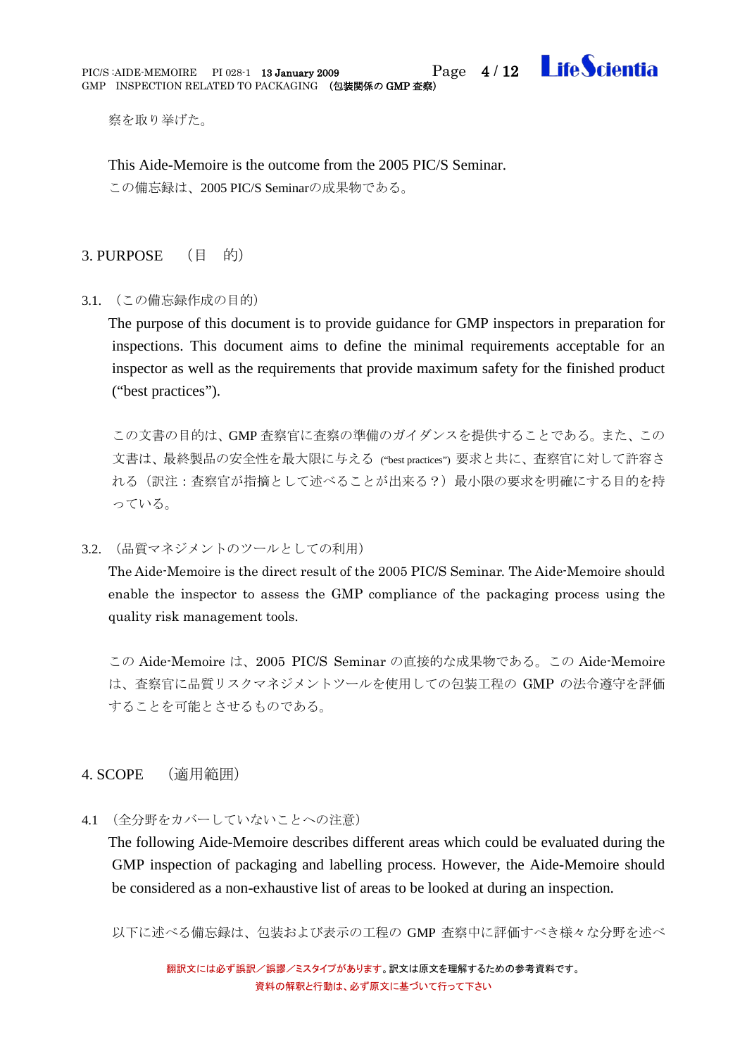

察を取り挙げた。

This Aide-Memoire is the outcome from the 2005 PIC/S Seminar. この備忘録は、2005 PIC/S Seminarの成果物である。

### <span id="page-3-0"></span>3. PURPOSE (目 的)

<span id="page-3-1"></span>3.1. (この備忘録作成の目的)

The purpose of this document is to provide guidance for GMP inspectors in preparation for inspections. This document aims to define the minimal requirements acceptable for an inspector as well as the requirements that provide maximum safety for the finished product ("best practices").

この文書の目的は、GMP 査察官に査察の準備のガイダンスを提供することである。また、この 文書は、最終製品の安全性を最大限に与える ("best practices") 要求と共に、査察官に対して許容さ れる(訳注:査察官が指摘として述べることが出来る?)最小限の要求を明確にする目的を持 っている。

<span id="page-3-2"></span>3.2. (品質マネジメントのツールとしての利用)

The Aide-Memoire is the direct result of the 2005 PIC/S Seminar. The Aide-Memoire should enable the inspector to assess the GMP compliance of the packaging process using the quality risk management tools.

この Aide-Memoire は、2005 PIC/S Seminar の直接的な成果物である。この Aide-Memoire は、査察官に品質リスクマネジメントツールを使用しての包装工程の GMP の法令遵守を評価 することを可能とさせるものである。

#### <span id="page-3-3"></span>4. SCOPE (適用範囲)

<span id="page-3-4"></span>4.1 (全分野をカバーしていないことへの注意)

The following Aide-Memoire describes different areas which could be evaluated during the GMP inspection of packaging and labelling process. However, the Aide-Memoire should be considered as a non-exhaustive list of areas to be looked at during an inspection.

以下に述べる備忘録は、包装および表示の工程の GMP 査察中に評価すべき様々な分野を述べ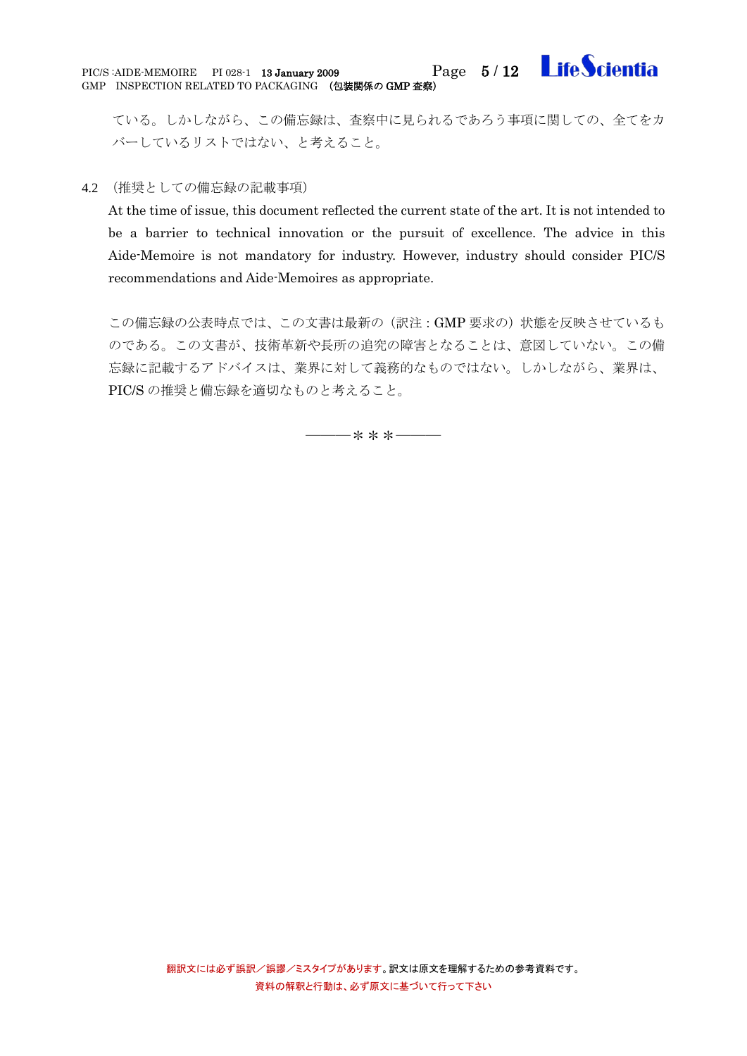ている。しかしながら、この備忘録は、査察中に見られるであろう事項に関しての、全てをカ バーしているリストではない、と考えること。

#### <span id="page-4-0"></span>4.2 (推奨としての備忘録の記載事項)

At the time of issue, this document reflected the current state of the art. It is not intended to be a barrier to technical innovation or the pursuit of excellence. The advice in this Aide-Memoire is not mandatory for industry. However, industry should consider PIC/S recommendations and Aide-Memoires as appropriate.

この備忘録の公表時点では、この文書は最新の(訳注:GMP 要求の)状態を反映させているも のである。この文書が、技術革新や長所の追究の障害となることは、意図していない。この備 忘録に記載するアドバイスは、業界に対して義務的なものではない。しかしながら、業界は、 PIC/S の推奨と備忘録を適切なものと考えること。

―――\*\*\*―――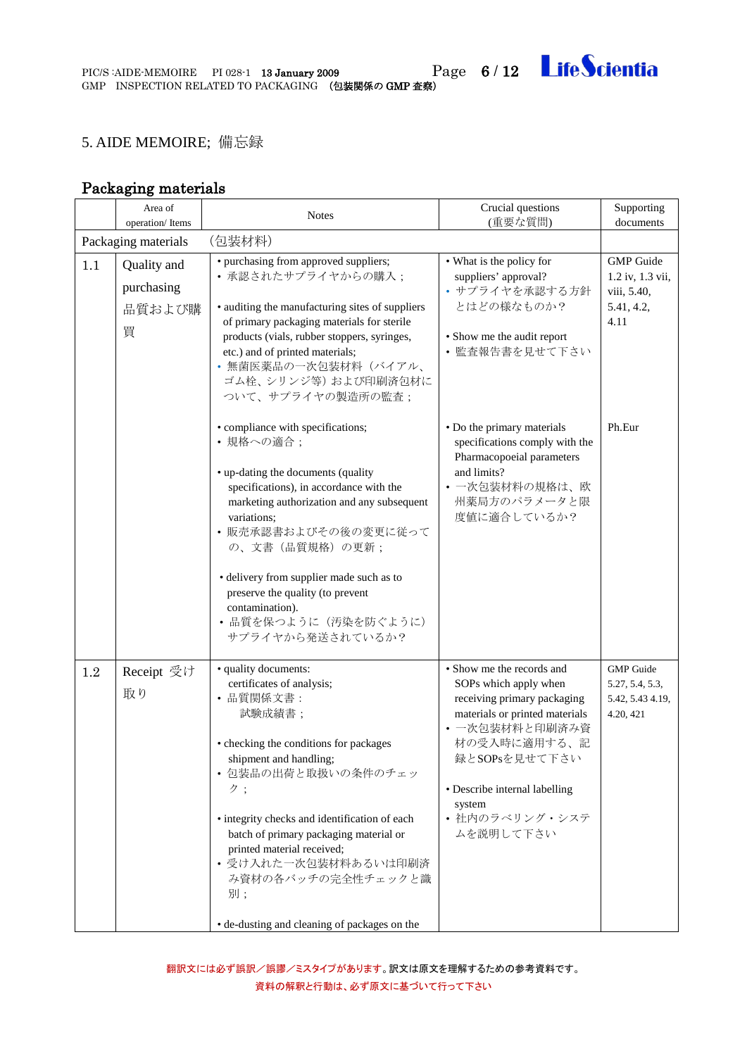## <span id="page-5-0"></span>5. AIDE MEMOIRE; 備忘録

# Packaging materials

<span id="page-5-3"></span><span id="page-5-2"></span><span id="page-5-1"></span>

|     | Area of<br>operation/Items               | <b>Notes</b>                                                                                                                                                                                                                                                                                                                                                                                           | Crucial questions<br>(重要な質問)                                                                                                                                                                                                                     | Supporting<br>documents                                                   |
|-----|------------------------------------------|--------------------------------------------------------------------------------------------------------------------------------------------------------------------------------------------------------------------------------------------------------------------------------------------------------------------------------------------------------------------------------------------------------|--------------------------------------------------------------------------------------------------------------------------------------------------------------------------------------------------------------------------------------------------|---------------------------------------------------------------------------|
|     | Packaging materials<br>(包装材料)            |                                                                                                                                                                                                                                                                                                                                                                                                        |                                                                                                                                                                                                                                                  |                                                                           |
| 1.1 | Quality and<br>purchasing<br>品質および購<br>買 | • purchasing from approved suppliers;<br>• 承認されたサプライヤからの購入;<br>• auditing the manufacturing sites of suppliers<br>of primary packaging materials for sterile<br>products (vials, rubber stoppers, syringes,<br>etc.) and of printed materials;<br>• 無菌医薬品の一次包装材料(バイアル、<br>ゴム栓、シリンジ等)および印刷済包材に<br>ついて、サプライヤの製造所の監査;                                                                                     | • What is the policy for<br>suppliers' approval?<br>• サプライヤを承認する方針<br>とはどの様なものか?<br>• Show me the audit report<br>• 監査報告書を見せて下さい                                                                                                                 | <b>GMP</b> Guide<br>1.2 iv, 1.3 vii,<br>viii, 5.40,<br>5.41, 4.2,<br>4.11 |
|     |                                          | • compliance with specifications;<br>• 規格への適合;<br>• up-dating the documents (quality<br>specifications), in accordance with the<br>marketing authorization and any subsequent<br>variations:<br>• 販売承認書およびその後の変更に従って<br>の、文書 (品質規格) の更新;<br>• delivery from supplier made such as to<br>preserve the quality (to prevent<br>contamination).<br>• 品質を保つように (汚染を防ぐように)<br>サプライヤから発送されているか?               | • Do the primary materials<br>specifications comply with the<br>Pharmacopoeial parameters<br>and limits?<br>• 一次包装材料の規格は、欧<br>州薬局方のパラメータと限<br>度値に適合しているか?                                                                                        | Ph.Eur                                                                    |
| 1.2 | Receipt 受け<br>取り                         | · quality documents:<br>certificates of analysis;<br>• 品質関係文書:<br>試験成績書;<br>• checking the conditions for packages<br>shipment and handling;<br>• 包装品の出荷と取扱いの条件のチェッ<br>ク;<br>• integrity checks and identification of each<br>batch of primary packaging material or<br>printed material received;<br>• 受け入れた一次包装材料あるいは印刷済<br>み資材の各バッチの完全性チェックと識<br>別;<br>• de-dusting and cleaning of packages on the | • Show me the records and<br>SOPs which apply when<br>receiving primary packaging<br>materials or printed materials<br>• 一次包装材料と印刷済み資<br>材の受入時に適用する、記<br>録とSOPsを見せて下さい<br>• Describe internal labelling<br>system<br>• 社内のラベリング・システ<br>ムを説明して下さい | <b>GMP</b> Guide<br>5.27, 5.4, 5.3,<br>5.42, 5.43 4.19,<br>4.20, 421      |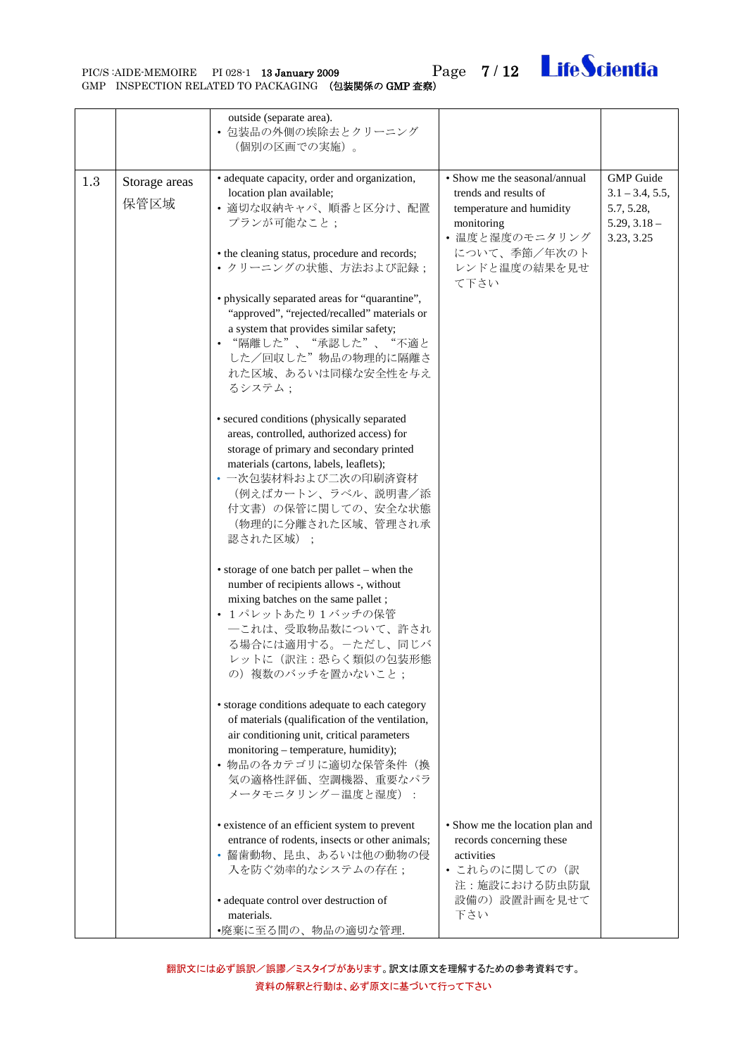<span id="page-6-0"></span>

|     |                       | outside (separate area).<br>• 包装品の外側の埃除去とクリーニング<br>(個別の区画での実施)。                                                                                                                                                                                                                                                                                                                                                                                                                                                                                                                                                                                                                                                                                                                                                                                                                                                                                                                                                                                                                                                                                                                                                   |                                                                                                                                                            |                                                                                     |
|-----|-----------------------|-------------------------------------------------------------------------------------------------------------------------------------------------------------------------------------------------------------------------------------------------------------------------------------------------------------------------------------------------------------------------------------------------------------------------------------------------------------------------------------------------------------------------------------------------------------------------------------------------------------------------------------------------------------------------------------------------------------------------------------------------------------------------------------------------------------------------------------------------------------------------------------------------------------------------------------------------------------------------------------------------------------------------------------------------------------------------------------------------------------------------------------------------------------------------------------------------------------------|------------------------------------------------------------------------------------------------------------------------------------------------------------|-------------------------------------------------------------------------------------|
| 1.3 | Storage areas<br>保管区域 | · adequate capacity, order and organization,<br>location plan available;<br>• 適切な収納キャパ、順番と区分け、配置<br>プランが可能なこと;<br>• the cleaning status, procedure and records;<br>• クリーニングの状態、方法および記録;<br>• physically separated areas for "quarantine",<br>"approved", "rejected/recalled" materials or<br>a system that provides similar safety;<br>• "隔離した"、"承認した"、"不適と<br>した/回収した"物品の物理的に隔離さ<br>れた区域、あるいは同様な安全性を与え<br>るシステム;<br>• secured conditions (physically separated<br>areas, controlled, authorized access) for<br>storage of primary and secondary printed<br>materials (cartons, labels, leaflets);<br>• 一次包装材料および二次の印刷済資材<br>(例えばカートン、ラベル、説明書/添<br>付文書)の保管に関しての、安全な状態<br>(物理的に分離された区域、管理され承<br>認された区域);<br>• storage of one batch per pallet - when the<br>number of recipients allows -, without<br>mixing batches on the same pallet;<br>• 1パレットあたり1バッチの保管<br>一これは、受取物品数について、許され<br>る場合には適用する。一ただし、同じバ<br>レットに(訳注:恐らく類似の包装形態<br>の) 複数のバッチを置かないこと;<br>· storage conditions adequate to each category<br>of materials (qualification of the ventilation,<br>air conditioning unit, critical parameters<br>monitoring – temperature, humidity);<br>• 物品の各カテゴリに適切な保管条件(換<br>気の適格性評価、空調機器、重要なパラ<br>メータモニタリングー温度と湿度): | • Show me the seasonal/annual<br>trends and results of<br>temperature and humidity<br>monitoring<br>• 温度と湿度のモニタリング<br>について、季節/年次のト<br>レンドと温度の結果を見せ<br>て下さい | <b>GMP</b> Guide<br>$3.1 - 3.4, 5.5,$<br>5.7, 5.28,<br>$5.29, 3.18 -$<br>3.23, 3.25 |
|     |                       | • existence of an efficient system to prevent<br>entrance of rodents, insects or other animals;<br>• 齧歯動物、昆虫、あるいは他の動物の侵<br>入を防ぐ効率的なシステムの存在;                                                                                                                                                                                                                                                                                                                                                                                                                                                                                                                                                                                                                                                                                                                                                                                                                                                                                                                                                                                                                                                                       | • Show me the location plan and<br>records concerning these<br>activities<br>• これらのに関しての(訳<br>注:施設における防虫防鼠                                                 |                                                                                     |
|     |                       | · adequate control over destruction of<br>materials.<br>•廃棄に至る間の、物品の適切な管理.                                                                                                                                                                                                                                                                                                                                                                                                                                                                                                                                                                                                                                                                                                                                                                                                                                                                                                                                                                                                                                                                                                                                        | 設備の)設置計画を見せて<br>下さい                                                                                                                                        |                                                                                     |

翻訳文には必ず誤訳/誤謬/ミスタイプがあります。訳文は原文を理解するための参考資料です。 資料の解釈と行動は、必ず原文に基づいて行って下さい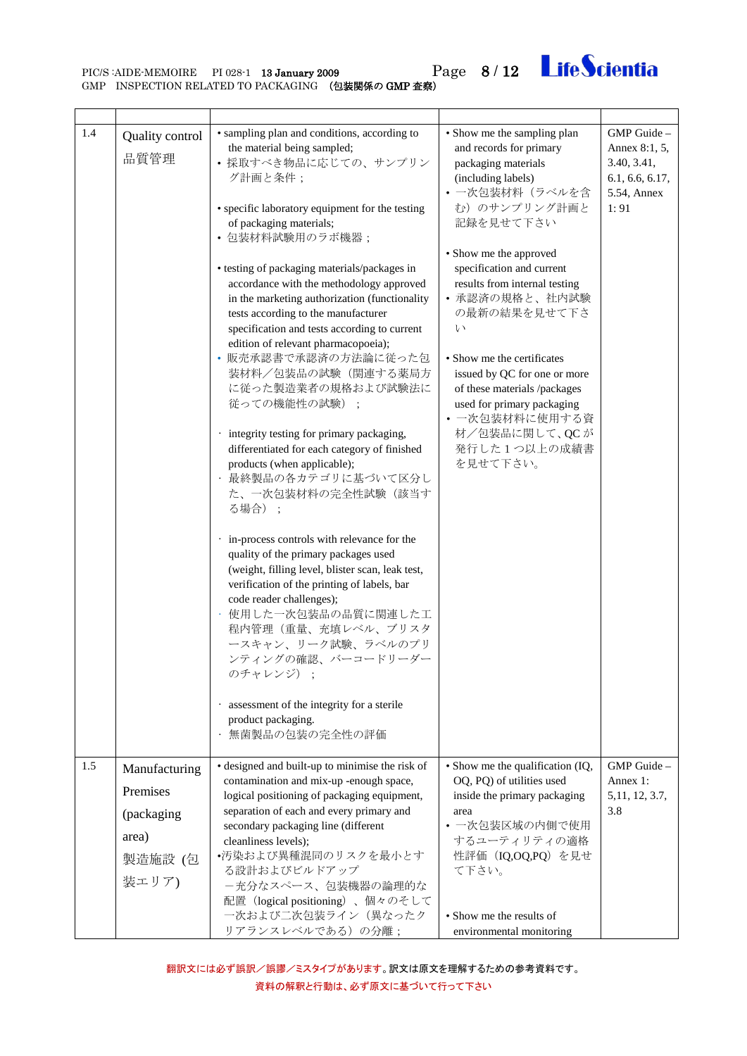PIC/S:AIDE-MEMOIRE PI 028-1 13 January 2009 Page 8/12 Life Scientia

<span id="page-7-0"></span>

| 1.4 | Quality control<br>品質管理                          | • sampling plan and conditions, according to<br>the material being sampled;<br>• 採取すべき物品に応じての、サンプリン<br>グ計画と条件;<br>• specific laboratory equipment for the testing<br>of packaging materials;<br>• 包装材料試験用のラボ機器;<br>• testing of packaging materials/packages in<br>accordance with the methodology approved<br>in the marketing authorization (functionality<br>tests according to the manufacturer<br>specification and tests according to current<br>edition of relevant pharmacopoeia);<br>• 販売承認書で承認済の方法論に従った包<br>装材料/包装品の試験(関連する薬局方<br>に従った製造業者の規格および試験法に<br>従っての機能性の試験)<br>· integrity testing for primary packaging,<br>differentiated for each category of finished<br>products (when applicable);<br>· 最終製品の各カテゴリに基づいて区分し<br>た、一次包装材料の完全性試験(該当す<br>る場合);<br>· in-process controls with relevance for the<br>quality of the primary packages used<br>(weight, filling level, blister scan, leak test,<br>verification of the printing of labels, bar<br>code reader challenges);<br>使用した一次包装品の品質に関連した工<br>程内管理(重量、充填レベル、ブリスタ<br>ースキャン、リーク試験、ラベルのプリ<br>ンティングの確認、バーコードリーダー<br>のチャレンジ):<br>· assessment of the integrity for a sterile<br>product packaging.<br>無菌製品の包装の完全性の評価 | • Show me the sampling plan<br>and records for primary<br>packaging materials<br>(including labels)<br>• 一次包装材料 (ラベルを含<br>む)のサンプリング計画と<br>記録を見せて下さい<br>• Show me the approved<br>specification and current<br>results from internal testing<br>• 承認済の規格と、社内試験<br>の最新の結果を見せて下さ<br>$\vee$<br>• Show me the certificates<br>issued by QC for one or more<br>of these materials /packages<br>used for primary packaging<br>• 一次包装材料に使用する資<br>材/包装品に関して、QCが<br>発行した1つ以上の成績書<br>を見せて下さい。 | GMP Guide-<br>Annex 8:1, 5,<br>3.40, 3.41,<br>6.1, 6.6, 6.17,<br>5.54, Annex<br>1:91 |
|-----|--------------------------------------------------|-------------------------------------------------------------------------------------------------------------------------------------------------------------------------------------------------------------------------------------------------------------------------------------------------------------------------------------------------------------------------------------------------------------------------------------------------------------------------------------------------------------------------------------------------------------------------------------------------------------------------------------------------------------------------------------------------------------------------------------------------------------------------------------------------------------------------------------------------------------------------------------------------------------------------------------------------------------------------------------------------------------------------------------------------------------------------------------------------------------------------------------------------------------------------------------|------------------------------------------------------------------------------------------------------------------------------------------------------------------------------------------------------------------------------------------------------------------------------------------------------------------------------------------------------------------------------------------------------------------------------------------------------------------------------------|--------------------------------------------------------------------------------------|
| 1.5 | Manufacturing<br>Premises<br>(packaging<br>area) | • designed and built-up to minimise the risk of<br>contamination and mix-up -enough space,<br>logical positioning of packaging equipment,<br>separation of each and every primary and<br>secondary packaging line (different<br>cleanliness levels);                                                                                                                                                                                                                                                                                                                                                                                                                                                                                                                                                                                                                                                                                                                                                                                                                                                                                                                                | • Show me the qualification (IQ,<br>OQ, PQ) of utilities used<br>inside the primary packaging<br>area<br>• 一次包装区域の内側で使用<br>するユーティリティの適格                                                                                                                                                                                                                                                                                                                                            | GMP Guide-<br>Annex 1:<br>5, 11, 12, 3.7,<br>3.8                                     |
|     | 製造施設 (包<br>装エリア)                                 | •汚染および異種混同のリスクを最小とす<br>る設計およびビルドアップ<br>-充分なスペース、包装機器の論理的な<br>配置 (logical positioning)、個々のそして<br>一次および二次包装ライン (異なったク<br>リアランスレベルである)の分離;                                                                                                                                                                                                                                                                                                                                                                                                                                                                                                                                                                                                                                                                                                                                                                                                                                                                                                                                                                                                                                             | 性評価 (IQ,OQ,PQ) を見せ<br>て下さい。<br>• Show me the results of<br>environmental monitoring                                                                                                                                                                                                                                                                                                                                                                                                |                                                                                      |

<span id="page-7-1"></span>翻訳文には必ず誤訳/誤謬/ミスタイプがあります。訳文は原文を理解するための参考資料です。 資料の解釈と行動は、必ず原文に基づいて行って下さい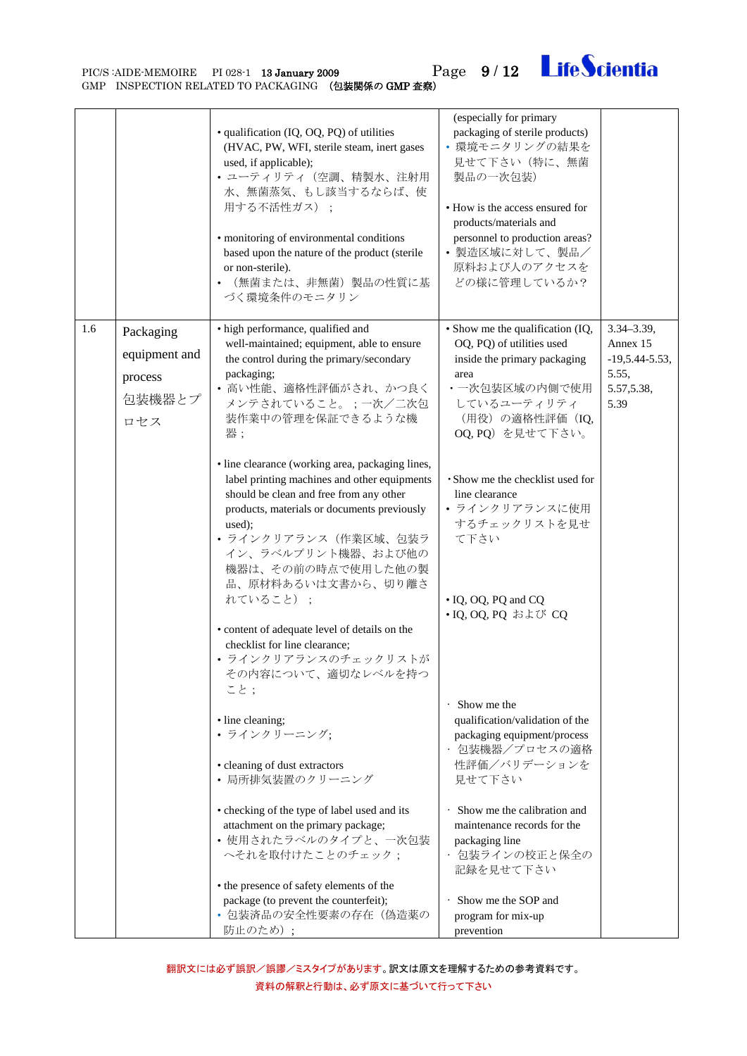

PIC/S:AIDE-MEMOIRE PI 028-1 13 January 2009 Page 9/12 Life Scientia

<span id="page-8-0"></span>

|     |                                                        | · qualification (IQ, OQ, PQ) of utilities<br>(HVAC, PW, WFI, sterile steam, inert gases<br>used, if applicable);<br>• ユーティリティ (空調、精製水、注射用<br>水、無菌蒸気、もし該当するならば、使<br>用する不活性ガス);<br>· monitoring of environmental conditions<br>based upon the nature of the product (sterile<br>or non-sterile).<br>(無菌または、非無菌) 製品の性質に基<br>づく環境条件のモニタリン | (especially for primary<br>packaging of sterile products)<br>• 環境モニタリングの結果を<br>見せて下さい(特に、無菌<br>製品の一次包装)<br>• How is the access ensured for<br>products/materials and<br>personnel to production areas?<br>• 製造区域に対して、製品/<br>原料および人のアクセスを<br>どの様に管理しているか? |                                                                               |
|-----|--------------------------------------------------------|---------------------------------------------------------------------------------------------------------------------------------------------------------------------------------------------------------------------------------------------------------------------------------------------------------------------------------------|----------------------------------------------------------------------------------------------------------------------------------------------------------------------------------------------------------------------------------------------------------|-------------------------------------------------------------------------------|
| 1.6 | Packaging<br>equipment and<br>process<br>包装機器とプ<br>ロセス | • high performance, qualified and<br>well-maintained; equipment, able to ensure<br>the control during the primary/secondary<br>packaging;<br>• 高い性能、適格性評価がされ、かつ良く<br>メンテされていること。;一次/二次包<br>装作業中の管理を保証できるような機<br>器;                                                                                                                    | • Show me the qualification (IQ,<br>OQ, PQ) of utilities used<br>inside the primary packaging<br>area<br>・一次包装区域の内側で使用<br>しているユーティリティ<br>(用役) の適格性評価 (IQ,<br>OQ, PQ) を見せて下さい。                                                                            | $3.34 - 3.39,$<br>Annex 15<br>$-19,5.44-5.53,$<br>5.55,<br>5.57,5.38,<br>5.39 |
|     |                                                        | · line clearance (working area, packaging lines,<br>label printing machines and other equipments<br>should be clean and free from any other<br>products, materials or documents previously<br>used);<br>• ラインクリアランス (作業区域、包装ラ<br>イン、ラベルプリント機器、および他の<br>機器は、その前の時点で使用した他の製<br>品、原材料あるいは文書から、切り離さ<br>れていること);                           | · Show me the checklist used for<br>line clearance<br>• ラインクリアランスに使用<br>するチェックリストを見せ<br>て下さい<br>• IQ, OQ, PQ and CQ                                                                                                                                      |                                                                               |
|     |                                                        | • content of adequate level of details on the<br>checklist for line clearance;<br>• ラインクリアランスのチェックリストが<br>その内容について、適切なレベルを持つ<br>こと;                                                                                                                                                                                                   | • IQ, OQ, PQ および CQ<br>· Show me the                                                                                                                                                                                                                     |                                                                               |
|     |                                                        | · line cleaning;<br>• ラインクリーニング:<br>• cleaning of dust extractors<br>• 局所排気装置のクリーニング                                                                                                                                                                                                                                                  | qualification/validation of the<br>packaging equipment/process<br>· 包装機器/プロセスの適格<br>性評価/バリデーションを<br>見せて下さい                                                                                                                                               |                                                                               |
|     |                                                        | • checking of the type of label used and its<br>attachment on the primary package;<br>• 使用されたラベルのタイプと、一次包装<br>へそれを取付けたことのチェック;                                                                                                                                                                                                        | · Show me the calibration and<br>maintenance records for the<br>packaging line<br>・ 包装ラインの校正と保全の<br>記録を見せて下さい                                                                                                                                            |                                                                               |
|     |                                                        | • the presence of safety elements of the<br>package (to prevent the counterfeit);<br>• 包装済品の安全性要素の存在(偽造薬の<br>防止のため);                                                                                                                                                                                                                  | · Show me the SOP and<br>program for mix-up<br>prevention                                                                                                                                                                                                |                                                                               |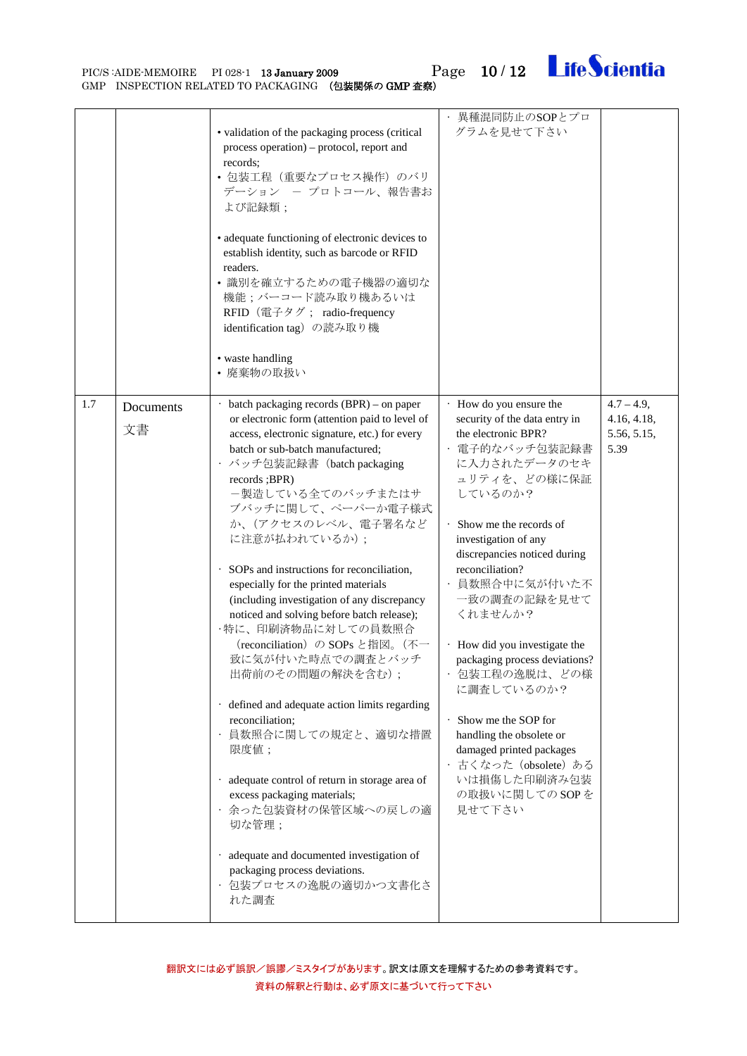

PIC/S:AIDE-MEMOIRE PI 028-1 13 January 2009 Page 10 / 12 Life Scientia

<span id="page-9-0"></span>

|     |                 | • validation of the packaging process (critical<br>process operation) – protocol, report and<br>records:<br>• 包装工程 (重要なプロセス操作) のバリ<br>デーション ー プロトコール、報告書お<br>よび記録類;<br>• adequate functioning of electronic devices to<br>establish identity, such as barcode or RFID<br>readers.<br>• 識別を確立するための電子機器の適切な<br>機能;バーコード読み取り機あるいは<br>RFID (電子タグ; radio-frequency<br>identification tag) の読み取り機<br>• waste handling<br>• 廃棄物の取扱い                                                                                                                                                                                                                                                                                                                                                                                                                                                                                                                    | · 異種混同防止のSOPとプロ<br>グラムを見せて下さい                                                                                                                                                                                                                                                                                                                                                                                                                                                                                                                  |                                                     |
|-----|-----------------|-------------------------------------------------------------------------------------------------------------------------------------------------------------------------------------------------------------------------------------------------------------------------------------------------------------------------------------------------------------------------------------------------------------------------------------------------------------------------------------------------------------------------------------------------------------------------------------------------------------------------------------------------------------------------------------------------------------------------------------------------------------------------------------------------------------------------------------------------------------------------------------------------------------------------------------------------|------------------------------------------------------------------------------------------------------------------------------------------------------------------------------------------------------------------------------------------------------------------------------------------------------------------------------------------------------------------------------------------------------------------------------------------------------------------------------------------------------------------------------------------------|-----------------------------------------------------|
| 1.7 | Documents<br>文書 | · batch packaging records (BPR) - on paper<br>or electronic form (attention paid to level of<br>access, electronic signature, etc.) for every<br>batch or sub-batch manufactured;<br>・バッチ包装記録書 (batch packaging<br>records; BPR)<br>一製造している全てのバッチまたはサ<br>ブバッチに関して、ペーパーか電子様式<br>か、(アクセスのレベル、電子署名など<br>に注意が払われているか);<br>· SOPs and instructions for reconciliation,<br>especially for the printed materials<br>(including investigation of any discrepancy<br>noticed and solving before batch release);<br>・特に、印刷済物品に対しての員数照合<br>(reconciliation) の SOPs と指図。(不一<br>致に気が付いた時点での調査とバッチ<br>出荷前のその問題の解決を含む);<br>· defined and adequate action limits regarding<br>reconciliation;<br>· 員数照合に関しての規定と、適切な措置<br>限度值;<br>· adequate control of return in storage area of<br>excess packaging materials;<br>· 余った包装資材の保管区域への戻しの適<br>切な管理;<br>· adequate and documented investigation of<br>packaging process deviations.<br>· 包装プロセスの逸脱の適切かつ文書化さ<br>れた調査 | How do you ensure the<br>security of the data entry in<br>the electronic BPR?<br>· 電子的なバッチ包装記録書<br>に入力されたデータのセキ<br>ュリティを、どの様に保証<br>しているのか?<br>Show me the records of<br>investigation of any<br>discrepancies noticed during<br>reconciliation?<br>・ 員数照合中に気が付いた不<br>一致の調査の記録を見せて<br>くれませんか?<br>· How did you investigate the<br>packaging process deviations?<br>包装工程の逸脱は、どの様<br>に調査しているのか?<br>Show me the SOP for<br>handling the obsolete or<br>damaged printed packages<br>・古くなった (obsolete) ある<br>いは損傷した印刷済み包装<br>の取扱いに関してのSOPを<br>見せて下さい | $4.7 - 4.9$ ,<br>4.16, 4.18,<br>5.56, 5.15,<br>5.39 |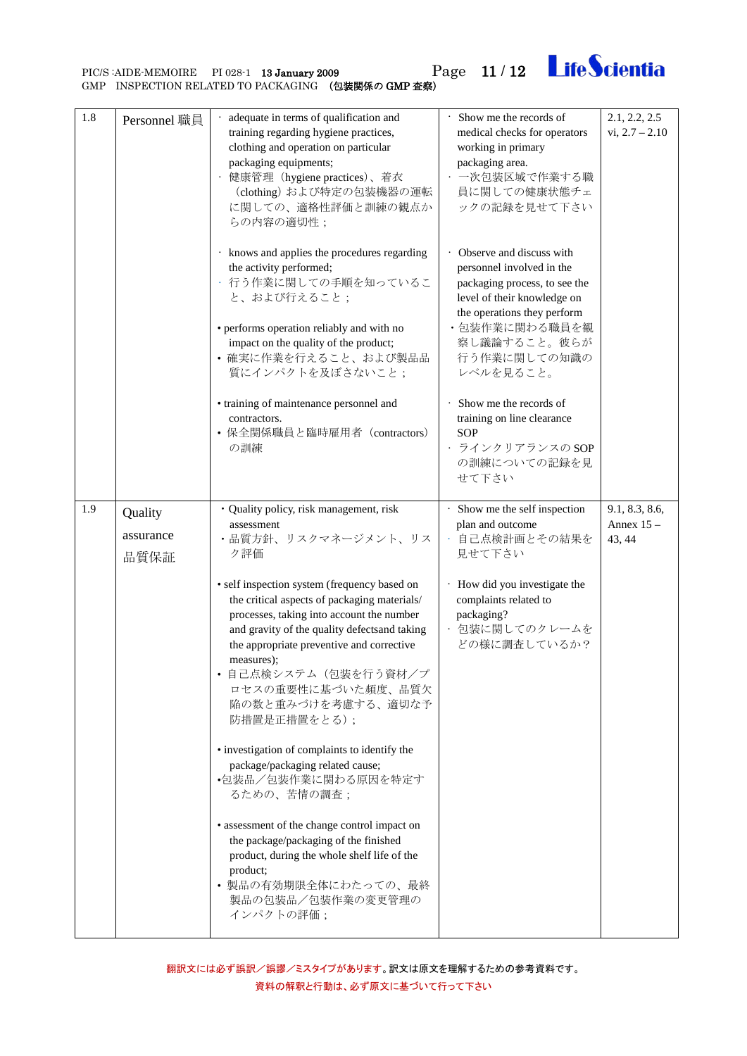PIC/S :AIDE-MEMOIRE PI 028-1 13 January 2009 Page 11 / 12<br>GMP INSPECTION RELATED TO PACKAGING (包装関係の GMP 査察)

<span id="page-10-0"></span>1.8 Personnel 職員  $\vert \cdot \vert$  adequate in terms of qualification and training regarding hygiene practices, clothing and operation on particular packaging equipments; • 健康管理(hygiene practices)、着衣 (clothing) および特定の包装機器の運転 に関しての、適格性評価と訓練の観点か らの内容の適切性; • knows and applies the procedures regarding the activity performed; • 行う作業に関しての手順を知っているこ と、および行えること; • performs operation reliably and with no impact on the quality of the product; • 確実に作業を行えること、および製品品 質にインパクトを及ぼさないこと; • training of maintenance personnel and contractors. • 保全関係職員と臨時雇用者(contractors) の訓練 medical checks for operators working in primary packaging area. • 一次包装区域で作業する職 員に関しての健康状態チェ ックの記録を見せて下さい • Observe and discuss with personnel involved in the packaging process, to see the level of their knowledge on the operations they perform ・包装作業に関わる職員を観 察し議論すること。彼らが 行う作業に関しての知識の レベルを見ること。 • Show me the records of training on line clearance SOP • ラインクリアランスの SOP の訓練についての記録を見 せて下さい  $vi. 2.7 - 2.10$  $1.9$  Quality assurance 品質保証 ・Quality policy, risk management, risk assessment ・品質方針、リスクマネージメント、リス ク評価 • self inspection system (frequency based on the critical aspects of packaging materials/ processes, taking into account the number and gravity of the quality defectsand taking the appropriate preventive and corrective measures); • 自己点検システム(包装を行う資材/プ ロセスの重要性に基づいた頻度、品質欠 陥の数と重みづけを考慮する、適切な予 防措置是正措置をとる); Show me the self inspection plan and outcome • 自己点検計画とその結果を 見せて下さい • How did you investigate the complaints related to packaging? • 包装に関してのクレームを どの様に調査しているか? 9.1, 8.3, 8.6, Annex 15 – 43, 44

Show me the records of

2.1, 2.2, 2.5

**LifeScientia** 

<span id="page-10-1"></span>• investigation of complaints to identify the package/packaging related cause; •包装品/包装作業に関わる原因を特定す るための、苦情の調査; • assessment of the change control impact on the package/packaging of the finished product, during the whole shelf life of the product; • 製品の有効期限全体にわたっての、最終 製品の包装品/包装作業の変更管理の インパクトの評価;